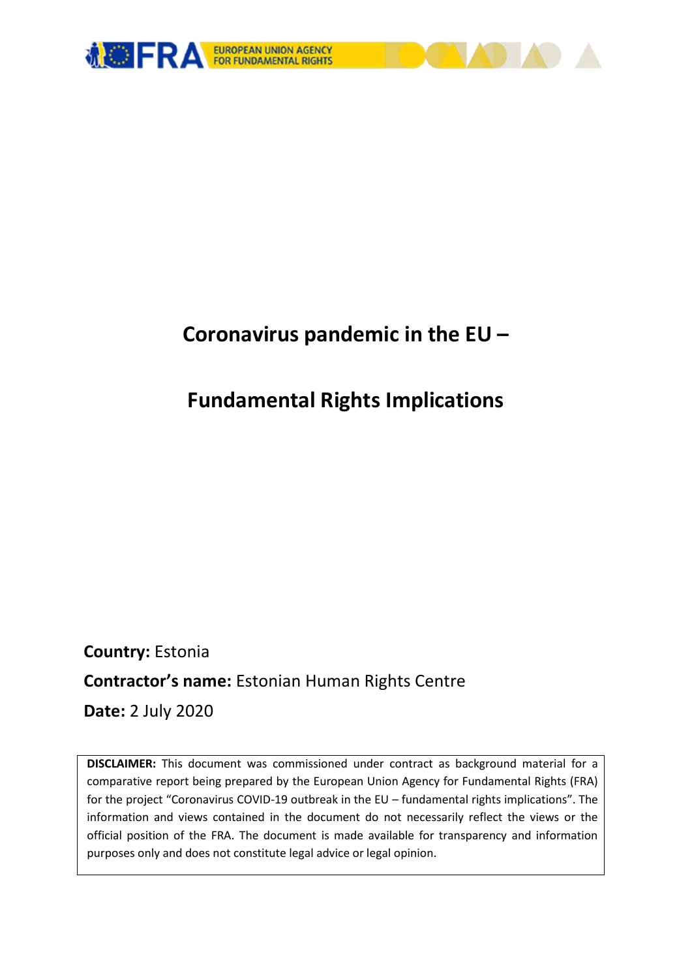

# **Coronavirus pandemic in the EU –**

# **Fundamental Rights Implications**

**Country:** Estonia **Contractor's name:** Estonian Human Rights Centre **Date:** 2 July 2020

**DISCLAIMER:** This document was commissioned under contract as background material for a comparative report being prepared by the European Union Agency for Fundamental Rights (FRA) for the project "Coronavirus COVID-19 outbreak in the EU – fundamental rights implications". The information and views contained in the document do not necessarily reflect the views or the official position of the FRA. The document is made available for transparency and information purposes only and does not constitute legal advice or legal opinion.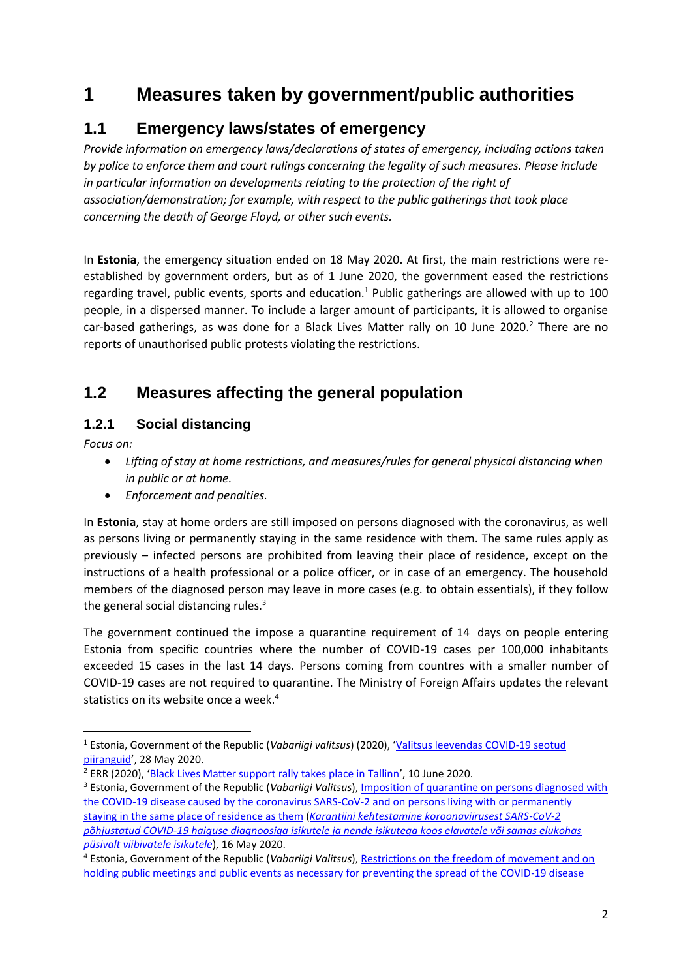# **1 Measures taken by government/public authorities**

# **1.1 Emergency laws/states of emergency**

*Provide information on emergency laws/declarations of states of emergency, including actions taken by police to enforce them and court rulings concerning the legality of such measures. Please include in particular information on developments relating to the protection of the right of association/demonstration; for example, with respect to the public gatherings that took place concerning the death of George Floyd, or other such events.*

In **Estonia**, the emergency situation ended on 18 May 2020. At first, the main restrictions were reestablished by government orders, but as of 1 June 2020, the government eased the restrictions regarding travel, public events, sports and education.<sup>1</sup> Public gatherings are allowed with up to 100 people, in a dispersed manner. To include a larger amount of participants, it is allowed to organise car-based gatherings, as was done for a Black Lives Matter rally on 10 June 2020.<sup>2</sup> There are no reports of unauthorised public protests violating the restrictions.

# **1.2 Measures affecting the general population**

#### **1.2.1 Social distancing**

*Focus on:* 

- *Lifting of stay at home restrictions, and measures/rules for general physical distancing when in public or at home.*
- *Enforcement and penalties.*

In **Estonia**, stay at home orders are still imposed on persons diagnosed with the coronavirus, as well as persons living or permanently staying in the same residence with them. The same rules apply as previously – infected persons are prohibited from leaving their place of residence, except on the instructions of a health professional or a police officer, or in case of an emergency. The household members of the diagnosed person may leave in more cases (e.g. to obtain essentials), if they follow the general social distancing rules. $3$ 

The government continued the impose a quarantine requirement of 14 days on people entering Estonia from specific countries where the number of COVID-19 cases per 100,000 inhabitants exceeded 15 cases in the last 14 days. Persons coming from countres with a smaller number of COVID-19 cases are not required to quarantine. The Ministry of Foreign Affairs updates the relevant statistics on its website once a week.<sup>4</sup>

<sup>1</sup> <sup>1</sup> Estonia, Government of the Republic (*Vabariigi valitsus*) (2020), '[Valitsus leevendas COVID-19 seotud](https://www.kriis.ee/et/uudised/valitsus-leevendas-covid-19-seotud-piiranguid)  [piiranguid](https://www.kriis.ee/et/uudised/valitsus-leevendas-covid-19-seotud-piiranguid)', 28 May 2020.

<sup>2</sup> ERR (2020), '[Black Lives Matter support rally takes place in Tallinn](https://news.err.ee/1100437/gallery-black-lives-matter-support-rally-takes-place-in-tallinn)', 10 June 2020.

<sup>3</sup> Estonia, Government of the Republic (*Vabariigi Valitsus*)[, Imposition of quarantine on persons diagnosed with](https://www.riigiteataja.ee/en/eli/ee/VV/k/517052020017/consolide)  [the COVID-19 disease caused by the coronavirus SARS-CoV-2 and on persons living with or permanently](https://www.riigiteataja.ee/en/eli/ee/VV/k/517052020017/consolide)  [staying in the same place of residence as](https://www.riigiteataja.ee/en/eli/ee/VV/k/517052020017/consolide) them (*[Karantiini kehtestamine koroonaviirusest SARS-CoV-2](https://www.riigiteataja.ee/akt/317052020003)  [põhjustatud COVID-19 haiguse diagnoosiga isikutele ja nende isikutega koos elavatele või samas elukohas](https://www.riigiteataja.ee/akt/317052020003)  [püsivalt viibivatele isikutele](https://www.riigiteataja.ee/akt/317052020003)*), 16 May 2020.

<sup>4</sup> Estonia, Government of the Republic (*Vabariigi Valitsus*)[, Restrictions on the freedom of movement and on](https://www.riigiteataja.ee/en/eli/519062020001/consolide)  [holding public meetings and public events as necessary for preventing the spread of the COVID-19 disease](https://www.riigiteataja.ee/en/eli/519062020001/consolide)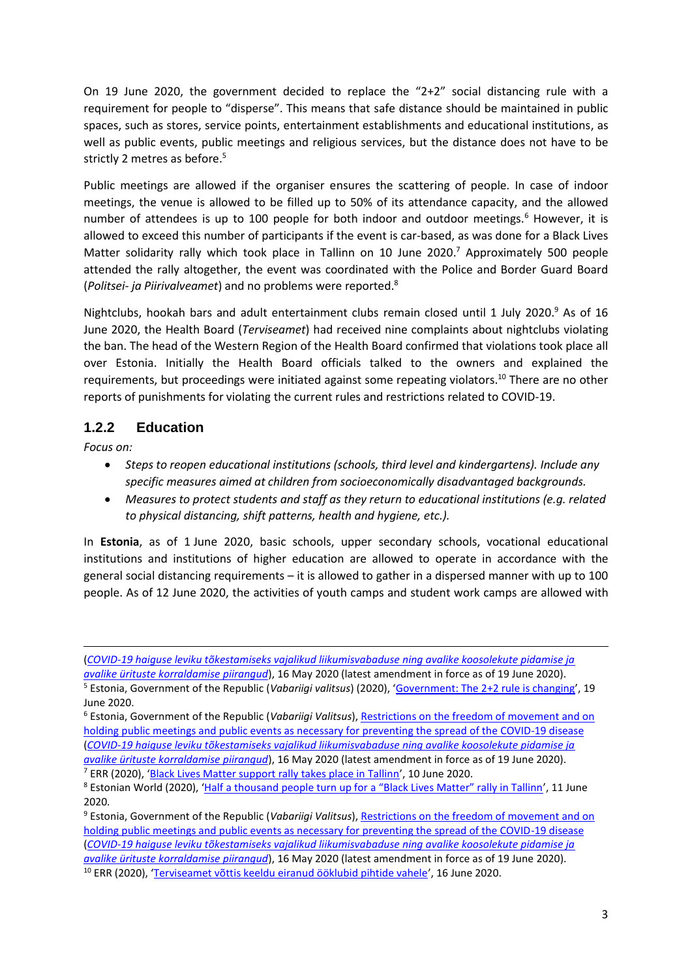On 19 June 2020, the government decided to replace the "2+2" social distancing rule with a requirement for people to "disperse". This means that safe distance should be maintained in public spaces, such as stores, service points, entertainment establishments and educational institutions, as well as public events, public meetings and religious services, but the distance does not have to be strictly 2 metres as before.<sup>5</sup>

Public meetings are allowed if the organiser ensures the scattering of people. In case of indoor meetings, the venue is allowed to be filled up to 50% of its attendance capacity, and the allowed number of attendees is up to 100 people for both indoor and outdoor meetings.<sup>6</sup> However, it is allowed to exceed this number of participants if the event is car-based, as was done for a Black Lives Matter solidarity rally which took place in Tallinn on 10 June 2020.<sup>7</sup> Approximately 500 people attended the rally altogether, the event was coordinated with the Police and Border Guard Board (*Politsei- ja Piirivalveamet*) and no problems were reported. 8

Nightclubs, hookah bars and adult entertainment clubs remain closed until 1 July 2020.<sup>9</sup> As of 16 June 2020, the Health Board (*Terviseamet*) had received nine complaints about nightclubs violating the ban. The head of the Western Region of the Health Board confirmed that violations took place all over Estonia. Initially the Health Board officials talked to the owners and explained the requirements, but proceedings were initiated against some repeating violators.<sup>10</sup> There are no other reports of punishments for violating the current rules and restrictions related to COVID-19.

#### **1.2.2 Education**

*Focus on:*

**.** 

- *Steps to reopen educational institutions (schools, third level and kindergartens). Include any specific measures aimed at children from socioeconomically disadvantaged backgrounds.*
- *Measures to protect students and staff as they return to educational institutions (e.g. related to physical distancing, shift patterns, health and hygiene, etc.).*

In **Estonia**, as of 1 June 2020, basic schools, upper secondary schools, vocational educational institutions and institutions of higher education are allowed to operate in accordance with the general social distancing requirements – it is allowed to gather in a dispersed manner with up to 100 people. As of 12 June 2020, the activities of youth camps and student work camps are allowed with

(*[COVID-19 haiguse leviku tõkestamiseks vajalikud liikumisvabaduse ning avalike koosolekute pidamise ja](https://www.riigiteataja.ee/akt/319062020007)* 

*[avalike ürituste korraldamise piirangud](https://www.riigiteataja.ee/akt/319062020007)*), 16 May 2020 (latest amendment in force as of 19 June 2020). <sup>5</sup> Estonia, Government of the Republic (*Vabariigi valitsus*) (2020), '[Government: The 2+2 rule is changing](https://www.kriis.ee/en/news/government-22-rule-changing)', 19 June 2020.

<sup>6</sup> Estonia, Government of the Republic (*Vabariigi Valitsus*)[, Restrictions on the freedom of movement and on](https://www.riigiteataja.ee/en/eli/519062020001/consolide)  [holding public meetings and public events as necessary for preventing the spread of the COVID-19 disease](https://www.riigiteataja.ee/en/eli/519062020001/consolide) (*[COVID-19 haiguse leviku tõkestamiseks vajalikud liikumisvabaduse ning avalike koosolekute pidamise ja](https://www.riigiteataja.ee/akt/319062020007)  [avalike ürituste korraldamise piirangud](https://www.riigiteataja.ee/akt/319062020007)*), 16 May 2020 (latest amendment in force as of 19 June 2020). <sup>7</sup> ERR (2020), '[Black Lives Matter support rally takes place in Tallinn](https://news.err.ee/1100437/gallery-black-lives-matter-support-rally-takes-place-in-tallinn)', 10 June 2020.

<sup>&</sup>lt;sup>8</sup> Estonian World (2020), ['Half a thousand people turn up for a "Black Lives Matter" rally in Tallinn',](https://estonianworld.com/life/half-a-thousand-people-turn-up-for-a-black-lives-matter-rally-in-tallinn/) 11 June 2020.

<sup>&</sup>lt;sup>9</sup> Estonia, Government of the Republic (*Vabariigi Valitsus*), Restrictions on the freedom of movement and on [holding public meetings and public events as necessary for preventing the spread of the COVID-19 disease](https://www.riigiteataja.ee/en/eli/519062020001/consolide) (*[COVID-19 haiguse leviku tõkestamiseks vajalikud liikumisvabaduse ning avalike koosolekute pidamise ja](https://www.riigiteataja.ee/akt/319062020007)  [avalike ürituste korraldamise piirangud](https://www.riigiteataja.ee/akt/319062020007)*), 16 May 2020 (latest amendment in force as of 19 June 2020). <sup>10</sup> ERR (2020), '[Terviseamet võttis keeldu eiranud ööklubid pihtide vahele](https://menu.err.ee/1102520/terviseamet-vottis-keeldu-eiranud-ooklubid-pihtide-vahele)', 16 June 2020.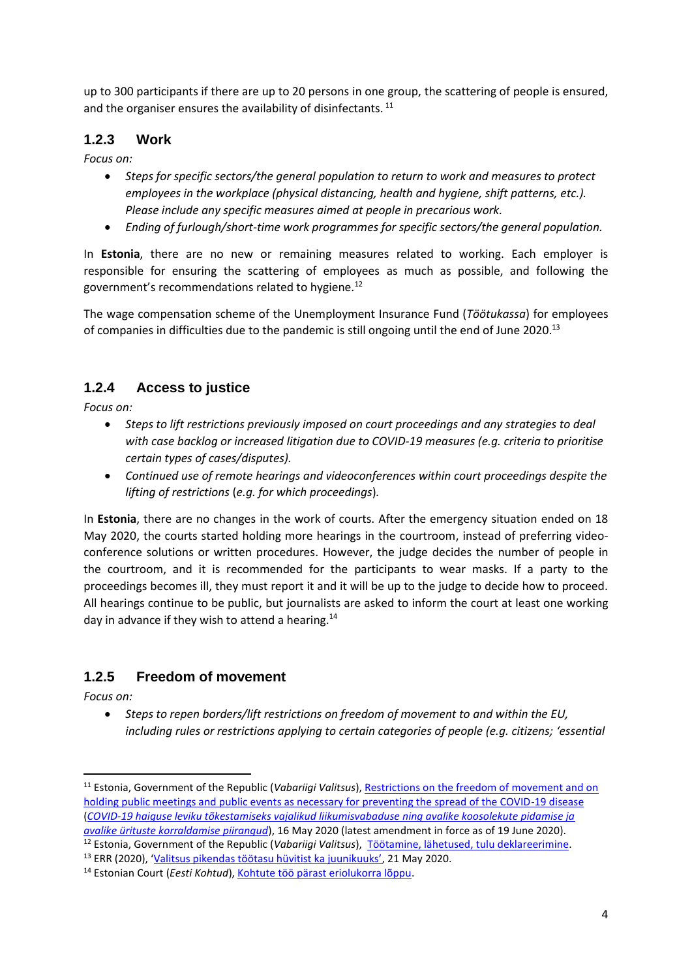up to 300 participants if there are up to 20 persons in one group, the scattering of people is ensured, and the organiser ensures the availability of disinfectants.<sup>11</sup>

#### **1.2.3 Work**

*Focus on:* 

- *Steps for specific sectors/the general population to return to work and measures to protect employees in the workplace (physical distancing, health and hygiene, shift patterns, etc.). Please include any specific measures aimed at people in precarious work.*
- *Ending of furlough/short-time work programmes for specific sectors/the general population.*

In **Estonia**, there are no new or remaining measures related to working. Each employer is responsible for ensuring the scattering of employees as much as possible, and following the government's recommendations related to hygiene.<sup>12</sup>

The wage compensation scheme of the Unemployment Insurance Fund (*Töötukassa*) for employees of companies in difficulties due to the pandemic is still ongoing until the end of June 2020.<sup>13</sup>

### **1.2.4 Access to justice**

*Focus on:* 

- *Steps to lift restrictions previously imposed on court proceedings and any strategies to deal with case backlog or increased litigation due to COVID-19 measures (e.g. criteria to prioritise certain types of cases/disputes).*
- *Continued use of remote hearings and videoconferences within court proceedings despite the lifting of restrictions* (*e.g. for which proceedings*)*.*

In **Estonia**, there are no changes in the work of courts. After the emergency situation ended on 18 May 2020, the courts started holding more hearings in the courtroom, instead of preferring videoconference solutions or written procedures. However, the judge decides the number of people in the courtroom, and it is recommended for the participants to wear masks. If a party to the proceedings becomes ill, they must report it and it will be up to the judge to decide how to proceed. All hearings continue to be public, but journalists are asked to inform the court at least one working day in advance if they wish to attend a hearing.<sup>14</sup>

### **1.2.5 Freedom of movement**

*Focus on:* 

**.** 

 *Steps to repen borders/lift restrictions on freedom of movement to and within the EU, including rules or restrictions applying to certain categories of people (e.g. citizens; 'essential* 

<sup>11</sup> Estonia, Government of the Republic (*Vabariigi Valitsus*), [Restrictions on the freedom of movement and on](https://www.riigiteataja.ee/en/eli/519062020001/consolide)  [holding public meetings and public events as necessary for preventing the spread of the COVID-19 disease](https://www.riigiteataja.ee/en/eli/519062020001/consolide) (*[COVID-19 haiguse leviku tõkestamiseks vajalikud liikumisvabaduse ning avalike koosolekute pidamise ja](https://www.riigiteataja.ee/akt/319062020007)  [avalike ürituste korraldamise piirangud](https://www.riigiteataja.ee/akt/319062020007)*), 16 May 2020 (latest amendment in force as of 19 June 2020).

<sup>12</sup> Estonia, Government of the Republic (*Vabariigi Valitsus*), [Töötamine, lähetused, tulu deklareerimine.](https://kkk.kriis.ee/et/kkk/tootamine-eestis-valismaalaste-tootamine/tootamine-lahetused-tulu-deklareerimine)

<sup>13</sup> ERR (2020), ['Valitsus pikendas töötasu hüvitist ka juunikuuks'](https://www.err.ee/1093104/valitsus-pikendas-tootasu-huvitist-ka-juunikuuks), 21 May 2020.

<sup>&</sup>lt;sup>14</sup> Estonian Court (*Eesti Kohtud*)[, Kohtute töö pärast eriolukorra lõppu.](https://www.kohus.ee/et/kohtumenetlus/kohtute-too-parast-eriolukorra-loppu)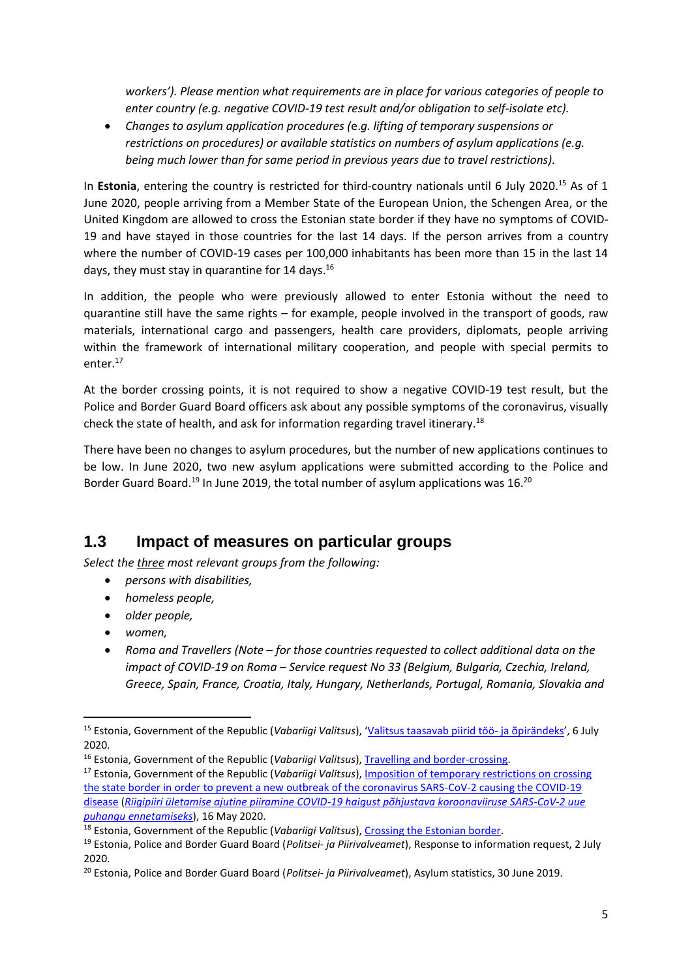*workers'). Please mention what requirements are in place for various categories of people to enter country (e.g. negative COVID-19 test result and/or obligation to self-isolate etc).* 

 *Changes to asylum application procedures (*e.*g. lifting of temporary suspensions or restrictions on procedures) or available statistics on numbers of asylum applications (e.g. being much lower than for same period in previous years due to travel restrictions).*

In **Estonia**, entering the country is restricted for third-country nationals until 6 July 2020.<sup>15</sup> As of 1 June 2020, people arriving from a Member State of the European Union, the Schengen Area, or the United Kingdom are allowed to cross the Estonian state border if they have no symptoms of COVID-19 and have stayed in those countries for the last 14 days. If the person arrives from a country where the number of COVID-19 cases per 100,000 inhabitants has been more than 15 in the last 14 days, they must stay in quarantine for 14 days.<sup>16</sup>

In addition, the people who were previously allowed to enter Estonia without the need to quarantine still have the same rights – for example, people involved in the transport of goods, raw materials, international cargo and passengers, health care providers, diplomats, people arriving within the framework of international military cooperation, and people with special permits to enter. 17

At the border crossing points, it is not required to show a negative COVID-19 test result, but the Police and Border Guard Board officers ask about any possible symptoms of the coronavirus, visually check the state of health, and ask for information regarding travel itinerary.<sup>18</sup>

There have been no changes to asylum procedures, but the number of new applications continues to be low. In June 2020, two new asylum applications were submitted according to the Police and Border Guard Board.<sup>19</sup> In June 2019, the total number of asylum applications was 16.<sup>20</sup>

## **1.3 Impact of measures on particular groups**

*Select the three most relevant groups from the following:* 

- *persons with disabilities,*
- *homeless people,*
- *older people,*
- *women,*
- *Roma and Travellers (Note – for those countries requested to collect additional data on the impact of COVID-19 on Roma – Service request No 33 (Belgium, Bulgaria, Czechia, Ireland, Greece, Spain, France, Croatia, Italy, Hungary, Netherlands, Portugal, Romania, Slovakia and*

**<sup>.</sup>** <sup>15</sup> Estonia, Government of the Republic (*Vabariigi Valitsus*), '[Valitsus taasavab piirid töö-](https://www.kriis.ee/et/uudised/valitsus-taasavab-piirid-too-ja-opirandeks) ja õpirändeks', 6 July 2020.

<sup>16</sup> Estonia, Government of the Republic (*Vabariigi Valitsus*), [Travelling and border-crossing.](https://www.kriis.ee/en/travelling-and-border-crossing)

<sup>17</sup> Estonia, Government of the Republic (*Vabariigi Valitsus*), [Imposition of temporary restrictions on crossing](https://www.riigiteataja.ee/en/eli/ee/513062020001/consolide/current)  [the state border in order to prevent a new outbreak of the coronavirus SARS-CoV-2 causing the COVID-19](https://www.riigiteataja.ee/en/eli/ee/513062020001/consolide/current)  [disease](https://www.riigiteataja.ee/en/eli/ee/513062020001/consolide/current) (*[Riigipiiri ületamise ajutine piiramine COVID-19 haigust põhjustava koroonaviiruse SARS-CoV-2 uue](https://www.riigiteataja.ee/akt/312062020004)  [puhangu ennetamiseks](https://www.riigiteataja.ee/akt/312062020004)*), 16 May 2020.

<sup>&</sup>lt;sup>18</sup> Estonia, Government of the Republic (*Vabariigi Valitsus*), [Crossing the Estonian border.](https://www.kriis.ee/en/crossing-estonian-border)

<sup>19</sup> Estonia, Police and Border Guard Board (*Politsei- ja Piirivalveamet*), Response to information request, 2 July 2020.

<sup>20</sup> Estonia, Police and Border Guard Board (*Politsei- ja Piirivalveamet*), Asylum statistics, 30 June 2019.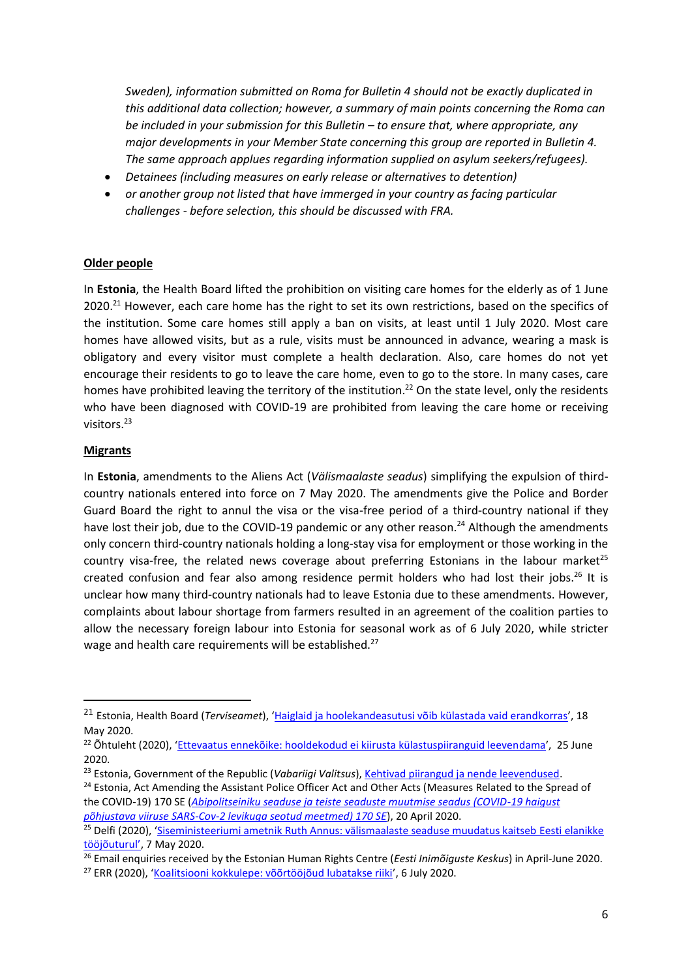*Sweden), information submitted on Roma for Bulletin 4 should not be exactly duplicated in this additional data collection; however, a summary of main points concerning the Roma can be included in your submission for this Bulletin – to ensure that, where appropriate, any major developments in your Member State concerning this group are reported in Bulletin 4. The same approach applues regarding information supplied on asylum seekers/refugees).*

- *Detainees (including measures on early release or alternatives to detention)*
- *or another group not listed that have immerged in your country as facing particular challenges - before selection, this should be discussed with FRA.*

#### **Older people**

In **Estonia**, the Health Board lifted the prohibition on visiting care homes for the elderly as of 1 June 2020.<sup>21</sup> However, each care home has the right to set its own restrictions, based on the specifics of the institution. Some care homes still apply a ban on visits, at least until 1 July 2020. Most care homes have allowed visits, but as a rule, visits must be announced in advance, wearing a mask is obligatory and every visitor must complete a health declaration. Also, care homes do not yet encourage their residents to go to leave the care home, even to go to the store. In many cases, care homes have prohibited leaving the territory of the institution.<sup>22</sup> On the state level, only the residents who have been diagnosed with COVID-19 are prohibited from leaving the care home or receiving visitors. 23

#### **Migrants**

 $\overline{a}$ 

In **Estonia**, amendments to the Aliens Act (*Välismaalaste seadus*) simplifying the expulsion of thirdcountry nationals entered into force on 7 May 2020. The amendments give the Police and Border Guard Board the right to annul the visa or the visa-free period of a third-country national if they have lost their job, due to the COVID-19 pandemic or any other reason.<sup>24</sup> Although the amendments only concern third-country nationals holding a long-stay visa for employment or those working in the country visa-free, the related news coverage about preferring Estonians in the labour market<sup>25</sup> created confusion and fear also among residence permit holders who had lost their jobs.<sup>26</sup> It is unclear how many third-country nationals had to leave Estonia due to these amendments. However, complaints about labour shortage from farmers resulted in an agreement of the coalition parties to allow the necessary foreign labour into Estonia for seasonal work as of 6 July 2020, while stricter wage and health care requirements will be established.<sup>27</sup>

<sup>21</sup> Estonia, Health Board (*Terviseamet*), '[Haiglaid ja hoolekandeasutusi võib külastada vaid erandkorras](https://www.terviseamet.ee/et/uudised/haiglaid-ja-hoolekandeasutusi-voib-kulastada-vaid-erandkorras)', 18 May 2020.

<sup>&</sup>lt;sup>22</sup> Õhtuleht (2020), '[Ettevaatus ennekõike: hooldekodud ei kiirusta külastuspiiranguid leevendama](https://www.ohtuleht.ee/1005326/ettevaatus-ennekoike-hooldekodud-ei-kiirusta-kulastuspiiranguid-leevendama)', 25 June 2020.

<sup>23</sup> Estonia, Government of the Republic (*Vabariigi Valitsus*), [Kehtivad piirangud ja nende leevendused.](https://www.kriis.ee/et/kehtivad-piirangud-ja-nende-leevendused)

<sup>&</sup>lt;sup>24</sup> Estonia, Act Amending the Assistant Police Officer Act and Other Acts (Measures Related to the Spread of the COVID-19) 170 SE (*[Abipolitseiniku seaduse ja teiste seaduste muutmise seadus \(COVID-19 haigust](https://www.riigikogu.ee/tegevus/eelnoud/eelnou/000826a5-0c93-407c-9fab-f173221748b4/Abipolitseiniku%20seaduse%20ja%20teiste%20seaduste%20muutmise%20seadus%20(COVID-19%20haigust%20p%C3%B5hjustava%20viiruse%20SARS-Cov-2%20levikuga%20seotud%20meetmed))  [põhjustava viiruse SARS-Cov-2 levikuga seotud meetmed\) 170 SE](https://www.riigikogu.ee/tegevus/eelnoud/eelnou/000826a5-0c93-407c-9fab-f173221748b4/Abipolitseiniku%20seaduse%20ja%20teiste%20seaduste%20muutmise%20seadus%20(COVID-19%20haigust%20p%C3%B5hjustava%20viiruse%20SARS-Cov-2%20levikuga%20seotud%20meetmed))*), 20 April 2020.

<sup>&</sup>lt;sup>25</sup> Delfi (2020), 'Siseministeeriumi ametnik Ruth Annus: välismaalaste seaduse muudatus kaitseb Eesti elanikke [tööjõuturul'](https://www.delfi.ee/news/paevauudised/eesti/siseministeeriumi-ametnik-ruth-annus-valismaalaste-seaduse-muudatus-kaitseb-eesti-elanikke-toojouturul?id=89787121), 7 May 2020.

<sup>26</sup> Email enquiries received by the Estonian Human Rights Centre (*Eesti Inimõiguste Keskus*) in April-June 2020.

<sup>&</sup>lt;sup>27</sup> ERR (2020), '[Koalitsiooni kokkulepe: võõrtööjõud lubatakse riiki](https://www.err.ee/1109693/koalitsiooni-kokkulepe-voortoojoud-lubatakse-riiki)', 6 July 2020.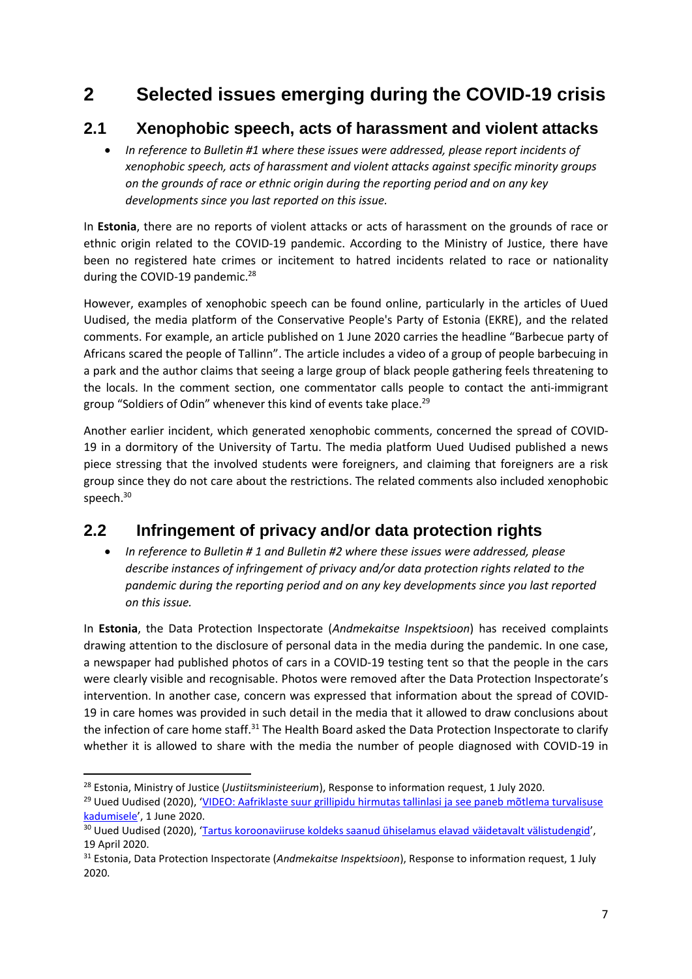# **2 Selected issues emerging during the COVID-19 crisis**

# **2.1 Xenophobic speech, acts of harassment and violent attacks**

 *In reference to Bulletin #1 where these issues were addressed, please report incidents of xenophobic speech, acts of harassment and violent attacks against specific minority groups on the grounds of race or ethnic origin during the reporting period and on any key developments since you last reported on this issue.*

In **Estonia**, there are no reports of violent attacks or acts of harassment on the grounds of race or ethnic origin related to the COVID-19 pandemic. According to the Ministry of Justice, there have been no registered hate crimes or incitement to hatred incidents related to race or nationality during the COVID-19 pandemic.<sup>28</sup>

However, examples of xenophobic speech can be found online, particularly in the articles of Uued Uudised, the media platform of the Conservative People's Party of Estonia (EKRE), and the related comments. For example, an article published on 1 June 2020 carries the headline "Barbecue party of Africans scared the people of Tallinn". The article includes a video of a group of people barbecuing in a park and the author claims that seeing a large group of black people gathering feels threatening to the locals. In the comment section, one commentator calls people to contact the anti-immigrant group "Soldiers of Odin" whenever this kind of events take place.<sup>29</sup>

Another earlier incident, which generated xenophobic comments, concerned the spread of COVID-19 in a dormitory of the University of Tartu. The media platform Uued Uudised published a news piece stressing that the involved students were foreigners, and claiming that foreigners are a risk group since they do not care about the restrictions. The related comments also included xenophobic speech. 30

# **2.2 Infringement of privacy and/or data protection rights**

 *In reference to Bulletin # 1 and Bulletin #2 where these issues were addressed, please describe instances of infringement of privacy and/or data protection rights related to the pandemic during the reporting period and on any key developments since you last reported on this issue.*

In **Estonia**, the Data Protection Inspectorate (*Andmekaitse Inspektsioon*) has received complaints drawing attention to the disclosure of personal data in the media during the pandemic. In one case, a newspaper had published photos of cars in a COVID-19 testing tent so that the people in the cars were clearly visible and recognisable. Photos were removed after the Data Protection Inspectorate's intervention. In another case, concern was expressed that information about the spread of COVID-19 in care homes was provided in such detail in the media that it allowed to draw conclusions about the infection of care home staff.<sup>31</sup> The Health Board asked the Data Protection Inspectorate to clarify whether it is allowed to share with the media the number of people diagnosed with COVID-19 in

**<sup>.</sup>** <sup>28</sup> Estonia, Ministry of Justice (*Justiitsministeerium*), Response to information request, 1 July 2020.

<sup>&</sup>lt;sup>29</sup> Uued Uudised (2020), 'VIDEO: Aafriklaste suur grillipidu hirmutas tallinlasi ja see paneb mõtlema turvalisuse [kadumisele](https://uueduudised.ee/arvamus/lugeja-kirjutab/aafriklaste-suur-grillipidu-hirmutas-tallinlasi-ja-see-paneb-motlema-turvalisuse-kadumisele/)', 1 June 2020.

<sup>&</sup>lt;sup>30</sup> Uued Uudised (2020), '[Tartus koroonaviiruse koldeks saanud ühiselamus elavad väidetavalt välistudengid](https://uueduudised.ee/uudis/eesti/tartus-koroonaviiruse-koldeks-saanud-uhiselamus-elavad-vaidetavalt-valistudengid/)', 19 April 2020.

<sup>31</sup> Estonia, Data Protection Inspectorate (*Andmekaitse Inspektsioon*), Response to information request, 1 July 2020.